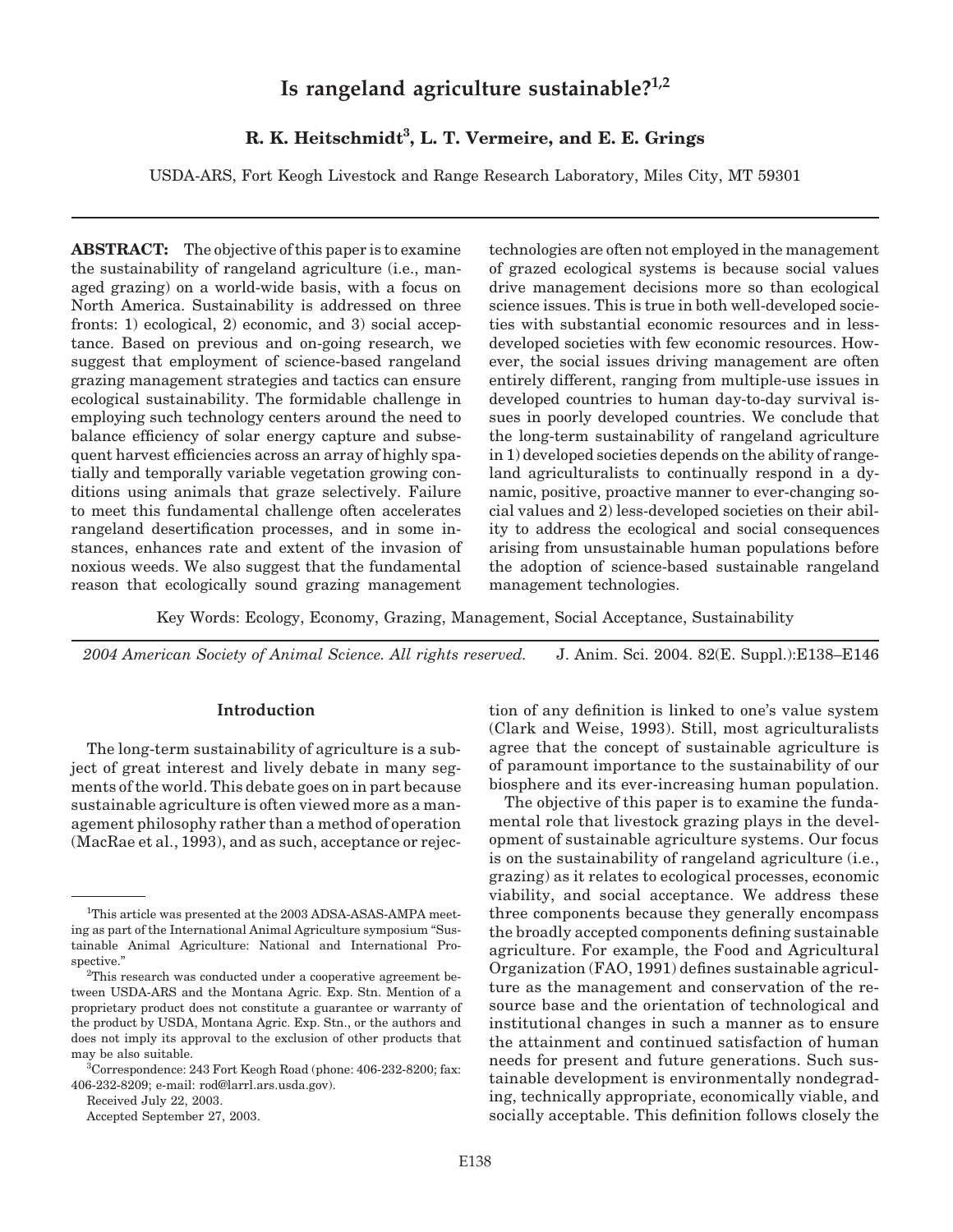# **Is rangeland agriculture sustainable?1,2**

# **R. K. Heitschmidt3 , L. T. Vermeire, and E. E. Grings**

USDA-ARS, Fort Keogh Livestock and Range Research Laboratory, Miles City, MT 59301

**ABSTRACT:** The objective of this paper is to examine the sustainability of rangeland agriculture (i.e., managed grazing) on a world-wide basis, with a focus on North America. Sustainability is addressed on three fronts: 1) ecological, 2) economic, and 3) social acceptance. Based on previous and on-going research, we suggest that employment of science-based rangeland grazing management strategies and tactics can ensure ecological sustainability. The formidable challenge in employing such technology centers around the need to balance efficiency of solar energy capture and subsequent harvest efficiencies across an array of highly spatially and temporally variable vegetation growing conditions using animals that graze selectively. Failure to meet this fundamental challenge often accelerates rangeland desertification processes, and in some instances, enhances rate and extent of the invasion of noxious weeds. We also suggest that the fundamental reason that ecologically sound grazing management technologies are often not employed in the management of grazed ecological systems is because social values drive management decisions more so than ecological science issues. This is true in both well-developed societies with substantial economic resources and in lessdeveloped societies with few economic resources. However, the social issues driving management are often entirely different, ranging from multiple-use issues in developed countries to human day-to-day survival issues in poorly developed countries. We conclude that the long-term sustainability of rangeland agriculture in 1) developed societies depends on the ability of rangeland agriculturalists to continually respond in a dynamic, positive, proactive manner to ever-changing social values and 2) less-developed societies on their ability to address the ecological and social consequences arising from unsustainable human populations before the adoption of science-based sustainable rangeland management technologies.

Key Words: Ecology, Economy, Grazing, Management, Social Acceptance, Sustainability

*2004 American Society of Animal Science. All rights reserved.* J. Anim. Sci. 2004. 82(E. Suppl.):E138–E146

# **Introduction**

The long-term sustainability of agriculture is a subject of great interest and lively debate in many segments of the world. This debate goes on in part because sustainable agriculture is often viewed more as a management philosophy rather than a method of operation (MacRae et al., 1993), and as such, acceptance or rejec-

Received July 22, 2003.

Accepted September 27, 2003.

tion of any definition is linked to one's value system (Clark and Weise, 1993). Still, most agriculturalists agree that the concept of sustainable agriculture is of paramount importance to the sustainability of our biosphere and its ever-increasing human population.

The objective of this paper is to examine the fundamental role that livestock grazing plays in the development of sustainable agriculture systems. Our focus is on the sustainability of rangeland agriculture (i.e., grazing) as it relates to ecological processes, economic viability, and social acceptance. We address these three components because they generally encompass the broadly accepted components defining sustainable agriculture. For example, the Food and Agricultural Organization (FAO, 1991) defines sustainable agriculture as the management and conservation of the resource base and the orientation of technological and institutional changes in such a manner as to ensure the attainment and continued satisfaction of human needs for present and future generations. Such sustainable development is environmentally nondegrading, technically appropriate, economically viable, and socially acceptable. This definition follows closely the

<sup>&</sup>lt;sup>1</sup>This article was presented at the 2003 ADSA-ASAS-AMPA meeting as part of the International Animal Agriculture symposium "Sustainable Animal Agriculture: National and International Prospective."

 ${}^{2}$ This research was conducted under a cooperative agreement between USDA-ARS and the Montana Agric. Exp. Stn. Mention of a proprietary product does not constitute a guarantee or warranty of the product by USDA, Montana Agric. Exp. Stn., or the authors and does not imply its approval to the exclusion of other products that may be also suitable.

<sup>3</sup> Correspondence: 243 Fort Keogh Road (phone: 406-232-8200; fax: 406-232-8209; e-mail: rod@larrl.ars.usda.gov).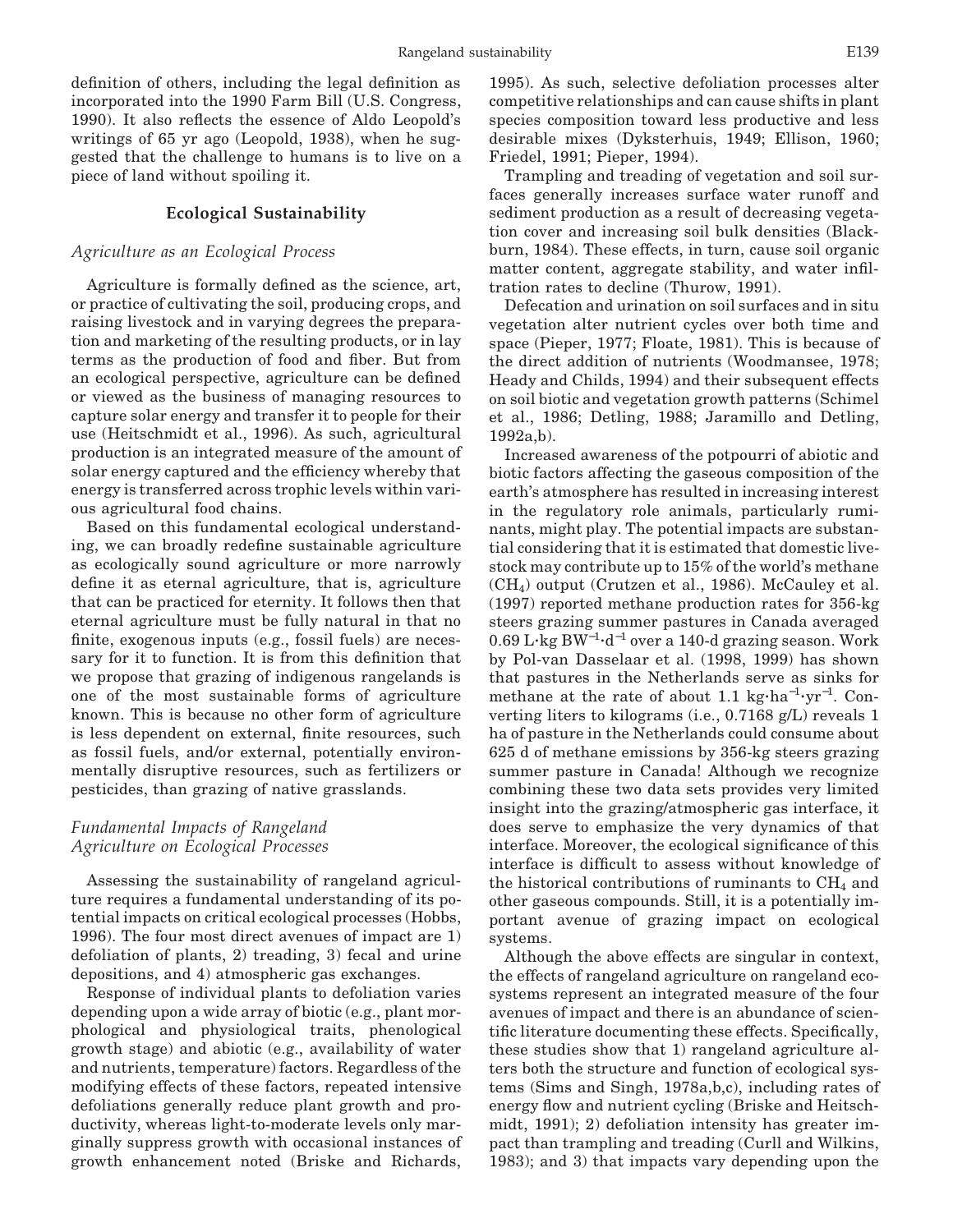definition of others, including the legal definition as incorporated into the 1990 Farm Bill (U.S. Congress, 1990). It also reflects the essence of Aldo Leopold's writings of 65 yr ago (Leopold, 1938), when he suggested that the challenge to humans is to live on a piece of land without spoiling it.

## **Ecological Sustainability**

# *Agriculture as an Ecological Process*

Agriculture is formally defined as the science, art, or practice of cultivating the soil, producing crops, and raising livestock and in varying degrees the preparation and marketing of the resulting products, or in lay terms as the production of food and fiber. But from an ecological perspective, agriculture can be defined or viewed as the business of managing resources to capture solar energy and transfer it to people for their use (Heitschmidt et al., 1996). As such, agricultural production is an integrated measure of the amount of solar energy captured and the efficiency whereby that energy is transferred across trophic levels within various agricultural food chains.

Based on this fundamental ecological understanding, we can broadly redefine sustainable agriculture as ecologically sound agriculture or more narrowly define it as eternal agriculture, that is, agriculture that can be practiced for eternity. It follows then that eternal agriculture must be fully natural in that no finite, exogenous inputs (e.g., fossil fuels) are necessary for it to function. It is from this definition that we propose that grazing of indigenous rangelands is one of the most sustainable forms of agriculture known. This is because no other form of agriculture is less dependent on external, finite resources, such as fossil fuels, and/or external, potentially environmentally disruptive resources, such as fertilizers or pesticides, than grazing of native grasslands.

# *Fundamental Impacts of Rangeland Agriculture on Ecological Processes*

Assessing the sustainability of rangeland agriculture requires a fundamental understanding of its potential impacts on critical ecological processes (Hobbs, 1996). The four most direct avenues of impact are 1) defoliation of plants, 2) treading, 3) fecal and urine depositions, and 4) atmospheric gas exchanges.

Response of individual plants to defoliation varies depending upon a wide array of biotic (e.g., plant morphological and physiological traits, phenological growth stage) and abiotic (e.g., availability of water and nutrients, temperature) factors. Regardless of the modifying effects of these factors, repeated intensive defoliations generally reduce plant growth and productivity, whereas light-to-moderate levels only marginally suppress growth with occasional instances of growth enhancement noted (Briske and Richards, 1995). As such, selective defoliation processes alter competitive relationships and can cause shifts in plant species composition toward less productive and less desirable mixes (Dyksterhuis, 1949; Ellison, 1960; Friedel, 1991; Pieper, 1994).

Trampling and treading of vegetation and soil surfaces generally increases surface water runoff and sediment production as a result of decreasing vegetation cover and increasing soil bulk densities (Blackburn, 1984). These effects, in turn, cause soil organic matter content, aggregate stability, and water infiltration rates to decline (Thurow, 1991).

Defecation and urination on soil surfaces and in situ vegetation alter nutrient cycles over both time and space (Pieper, 1977; Floate, 1981). This is because of the direct addition of nutrients (Woodmansee, 1978; Heady and Childs, 1994) and their subsequent effects on soil biotic and vegetation growth patterns (Schimel et al., 1986; Detling, 1988; Jaramillo and Detling, 1992a,b).

Increased awareness of the potpourri of abiotic and biotic factors affecting the gaseous composition of the earth's atmosphere has resulted in increasing interest in the regulatory role animals, particularly ruminants, might play. The potential impacts are substantial considering that it is estimated that domestic livestock may contribute up to 15% of the world's methane  $(CH<sub>4</sub>)$  output (Crutzen et al., 1986). McCauley et al. (1997) reported methane production rates for 356-kg steers grazing summer pastures in Canada averaged 0.69 L∙kg BW<sup>−1</sup>∙d<sup>−1</sup> over a 140-d grazing season. Work by Pol-van Dasselaar et al. (1998, 1999) has shown that pastures in the Netherlands serve as sinks for methane at the rate of about 1.1 kg·ha<sup>-1</sup>·yr<sup>-1</sup>. Converting liters to kilograms (i.e., 0.7168 g/L) reveals 1 ha of pasture in the Netherlands could consume about 625 d of methane emissions by 356-kg steers grazing summer pasture in Canada! Although we recognize combining these two data sets provides very limited insight into the grazing/atmospheric gas interface, it does serve to emphasize the very dynamics of that interface. Moreover, the ecological significance of this interface is difficult to assess without knowledge of the historical contributions of ruminants to  $CH<sub>4</sub>$  and other gaseous compounds. Still, it is a potentially important avenue of grazing impact on ecological systems.

Although the above effects are singular in context, the effects of rangeland agriculture on rangeland ecosystems represent an integrated measure of the four avenues of impact and there is an abundance of scientific literature documenting these effects. Specifically, these studies show that 1) rangeland agriculture alters both the structure and function of ecological systems (Sims and Singh, 1978a,b,c), including rates of energy flow and nutrient cycling (Briske and Heitschmidt, 1991); 2) defoliation intensity has greater impact than trampling and treading (Curll and Wilkins, 1983); and 3) that impacts vary depending upon the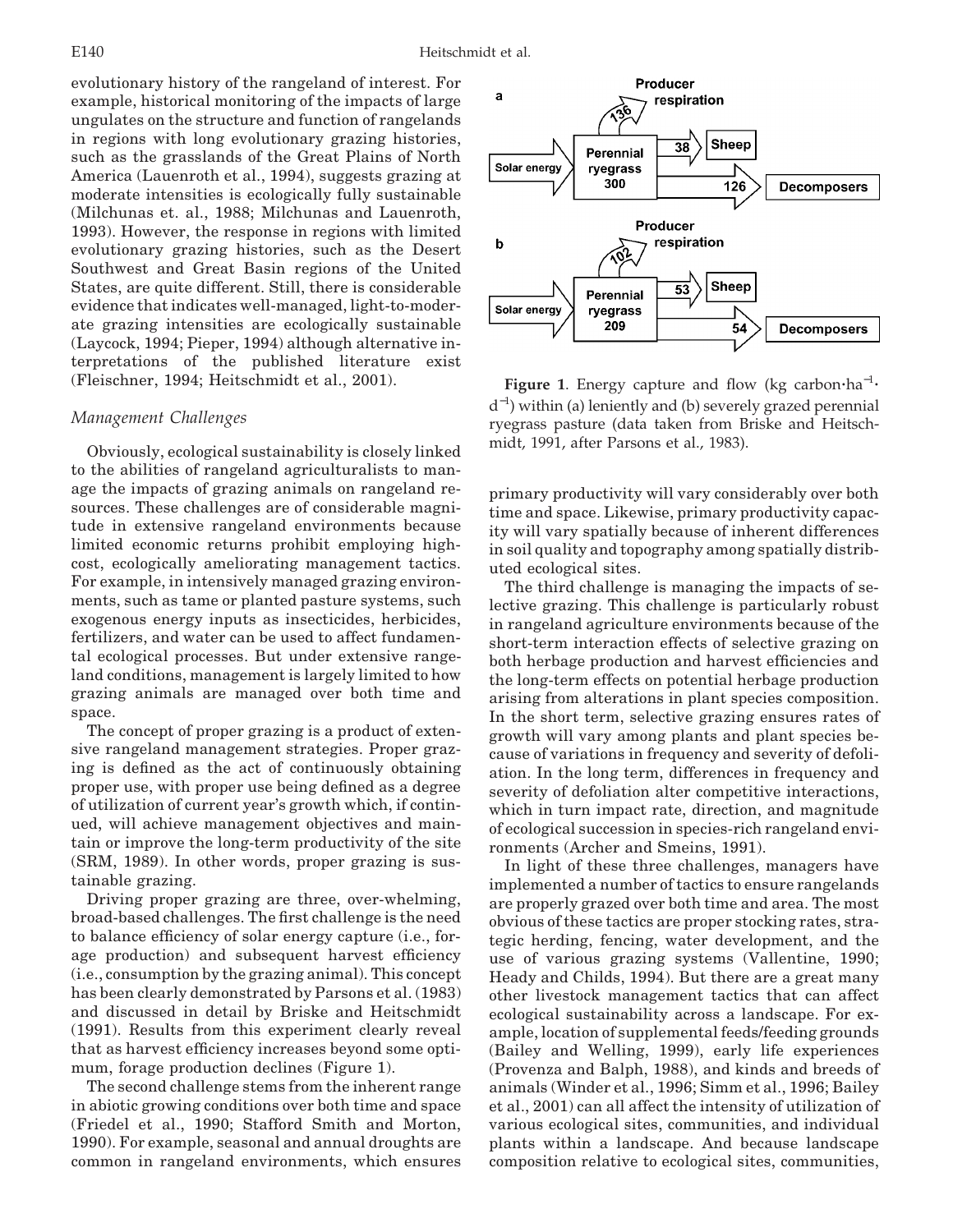evolutionary history of the rangeland of interest. For example, historical monitoring of the impacts of large ungulates on the structure and function of rangelands in regions with long evolutionary grazing histories, such as the grasslands of the Great Plains of North America (Lauenroth et al., 1994), suggests grazing at moderate intensities is ecologically fully sustainable (Milchunas et. al., 1988; Milchunas and Lauenroth, 1993). However, the response in regions with limited evolutionary grazing histories, such as the Desert Southwest and Great Basin regions of the United States, are quite different. Still, there is considerable evidence that indicates well-managed, light-to-moderate grazing intensities are ecologically sustainable (Laycock, 1994; Pieper, 1994) although alternative interpretations of the published literature exist (Fleischner, 1994; Heitschmidt et al., 2001).

#### *Management Challenges*

Obviously, ecological sustainability is closely linked to the abilities of rangeland agriculturalists to manage the impacts of grazing animals on rangeland resources. These challenges are of considerable magnitude in extensive rangeland environments because limited economic returns prohibit employing highcost, ecologically ameliorating management tactics. For example, in intensively managed grazing environments, such as tame or planted pasture systems, such exogenous energy inputs as insecticides, herbicides, fertilizers, and water can be used to affect fundamental ecological processes. But under extensive rangeland conditions, management is largely limited to how grazing animals are managed over both time and space.

The concept of proper grazing is a product of extensive rangeland management strategies. Proper grazing is defined as the act of continuously obtaining proper use, with proper use being defined as a degree of utilization of current year's growth which, if continued, will achieve management objectives and maintain or improve the long-term productivity of the site (SRM, 1989). In other words, proper grazing is sustainable grazing.

Driving proper grazing are three, over-whelming, broad-based challenges. The first challenge is the need to balance efficiency of solar energy capture (i.e., forage production) and subsequent harvest efficiency (i.e., consumption by the grazing animal). This concept has been clearly demonstrated by Parsons et al. (1983) and discussed in detail by Briske and Heitschmidt (1991). Results from this experiment clearly reveal that as harvest efficiency increases beyond some optimum, forage production declines (Figure 1).

The second challenge stems from the inherent range in abiotic growing conditions over both time and space (Friedel et al., 1990; Stafford Smith and Morton, 1990). For example, seasonal and annual droughts are common in rangeland environments, which ensures



**Figure 1**. Energy capture and flow (kg carbon·ha<sup>-1</sup>· d<sup>−</sup><sup>1</sup> ) within (a) leniently and (b) severely grazed perennial ryegrass pasture (data taken from Briske and Heitschmidt, 1991, after Parsons et al., 1983).

primary productivity will vary considerably over both time and space. Likewise, primary productivity capacity will vary spatially because of inherent differences in soil quality and topography among spatially distributed ecological sites.

The third challenge is managing the impacts of selective grazing. This challenge is particularly robust in rangeland agriculture environments because of the short-term interaction effects of selective grazing on both herbage production and harvest efficiencies and the long-term effects on potential herbage production arising from alterations in plant species composition. In the short term, selective grazing ensures rates of growth will vary among plants and plant species because of variations in frequency and severity of defoliation. In the long term, differences in frequency and severity of defoliation alter competitive interactions, which in turn impact rate, direction, and magnitude of ecological succession in species-rich rangeland environments (Archer and Smeins, 1991).

In light of these three challenges, managers have implemented a number of tactics to ensure rangelands are properly grazed over both time and area. The most obvious of these tactics are proper stocking rates, strategic herding, fencing, water development, and the use of various grazing systems (Vallentine, 1990; Heady and Childs, 1994). But there are a great many other livestock management tactics that can affect ecological sustainability across a landscape. For example, location of supplemental feeds/feeding grounds (Bailey and Welling, 1999), early life experiences (Provenza and Balph, 1988), and kinds and breeds of animals (Winder et al., 1996; Simm et al., 1996; Bailey et al., 2001) can all affect the intensity of utilization of various ecological sites, communities, and individual plants within a landscape. And because landscape composition relative to ecological sites, communities,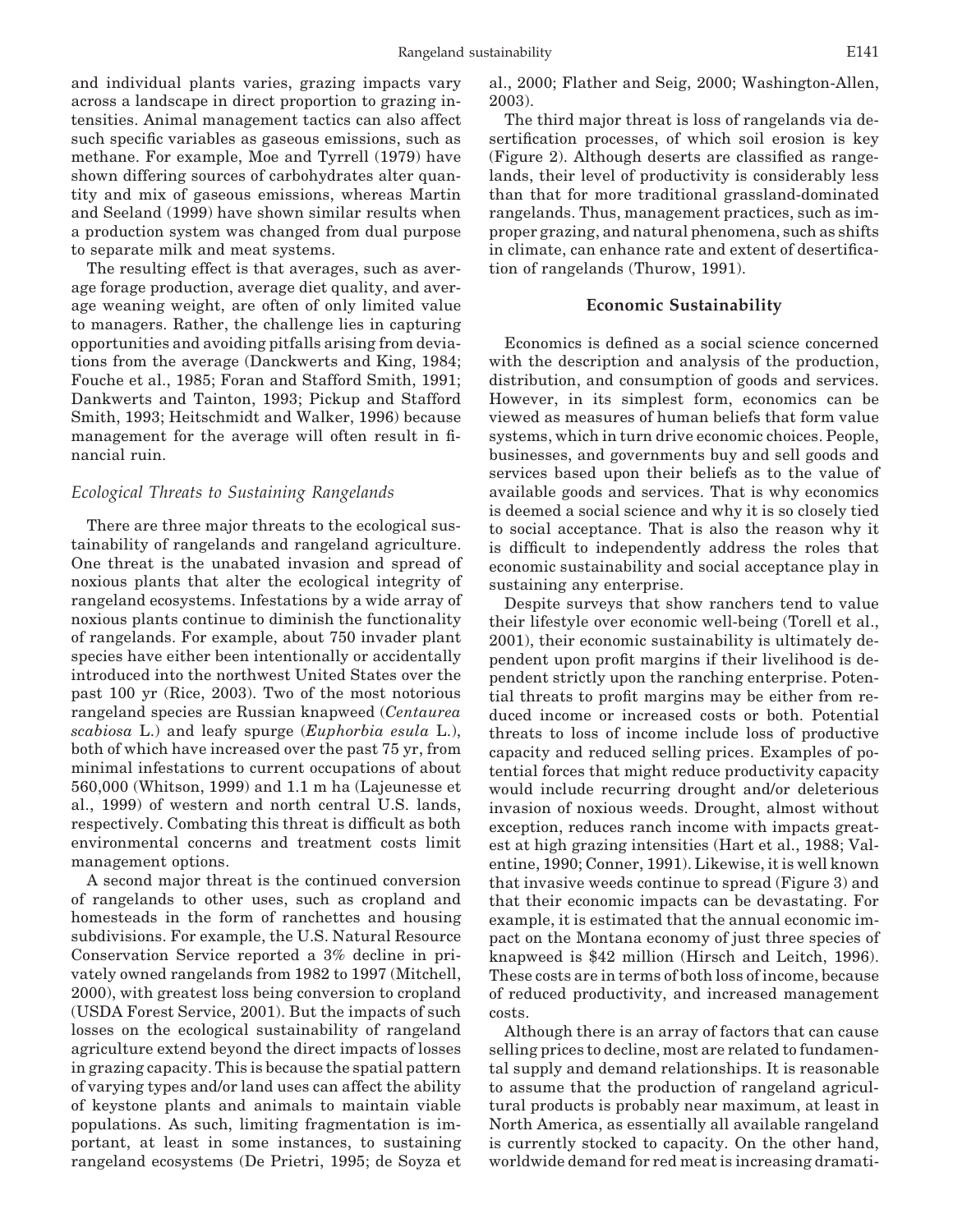and individual plants varies, grazing impacts vary across a landscape in direct proportion to grazing intensities. Animal management tactics can also affect such specific variables as gaseous emissions, such as methane. For example, Moe and Tyrrell (1979) have shown differing sources of carbohydrates alter quantity and mix of gaseous emissions, whereas Martin and Seeland (1999) have shown similar results when a production system was changed from dual purpose to separate milk and meat systems.

The resulting effect is that averages, such as average forage production, average diet quality, and average weaning weight, are often of only limited value to managers. Rather, the challenge lies in capturing opportunities and avoiding pitfalls arising from deviations from the average (Danckwerts and King, 1984; Fouche et al., 1985; Foran and Stafford Smith, 1991; Dankwerts and Tainton, 1993; Pickup and Stafford Smith, 1993; Heitschmidt and Walker, 1996) because management for the average will often result in financial ruin.

#### *Ecological Threats to Sustaining Rangelands*

There are three major threats to the ecological sustainability of rangelands and rangeland agriculture. One threat is the unabated invasion and spread of noxious plants that alter the ecological integrity of rangeland ecosystems. Infestations by a wide array of noxious plants continue to diminish the functionality of rangelands. For example, about 750 invader plant species have either been intentionally or accidentally introduced into the northwest United States over the past 100 yr (Rice, 2003). Two of the most notorious rangeland species are Russian knapweed (*Centaurea scabiosa* L.) and leafy spurge (*Euphorbia esula* L.), both of which have increased over the past 75 yr, from minimal infestations to current occupations of about 560,000 (Whitson, 1999) and 1.1 m ha (Lajeunesse et al., 1999) of western and north central U.S. lands, respectively. Combating this threat is difficult as both environmental concerns and treatment costs limit management options.

A second major threat is the continued conversion of rangelands to other uses, such as cropland and homesteads in the form of ranchettes and housing subdivisions. For example, the U.S. Natural Resource Conservation Service reported a 3% decline in privately owned rangelands from 1982 to 1997 (Mitchell, 2000), with greatest loss being conversion to cropland (USDA Forest Service, 2001). But the impacts of such losses on the ecological sustainability of rangeland agriculture extend beyond the direct impacts of losses in grazing capacity. This is because the spatial pattern of varying types and/or land uses can affect the ability of keystone plants and animals to maintain viable populations. As such, limiting fragmentation is important, at least in some instances, to sustaining rangeland ecosystems (De Prietri, 1995; de Soyza et al., 2000; Flather and Seig, 2000; Washington-Allen, 2003).

The third major threat is loss of rangelands via desertification processes, of which soil erosion is key (Figure 2). Although deserts are classified as rangelands, their level of productivity is considerably less than that for more traditional grassland-dominated rangelands. Thus, management practices, such as improper grazing, and natural phenomena, such as shifts in climate, can enhance rate and extent of desertification of rangelands (Thurow, 1991).

#### **Economic Sustainability**

Economics is defined as a social science concerned with the description and analysis of the production, distribution, and consumption of goods and services. However, in its simplest form, economics can be viewed as measures of human beliefs that form value systems, which in turn drive economic choices. People, businesses, and governments buy and sell goods and services based upon their beliefs as to the value of available goods and services. That is why economics is deemed a social science and why it is so closely tied to social acceptance. That is also the reason why it is difficult to independently address the roles that economic sustainability and social acceptance play in sustaining any enterprise.

Despite surveys that show ranchers tend to value their lifestyle over economic well-being (Torell et al., 2001), their economic sustainability is ultimately dependent upon profit margins if their livelihood is dependent strictly upon the ranching enterprise. Potential threats to profit margins may be either from reduced income or increased costs or both. Potential threats to loss of income include loss of productive capacity and reduced selling prices. Examples of potential forces that might reduce productivity capacity would include recurring drought and/or deleterious invasion of noxious weeds. Drought, almost without exception, reduces ranch income with impacts greatest at high grazing intensities (Hart et al., 1988; Valentine, 1990; Conner, 1991). Likewise, it is well known that invasive weeds continue to spread (Figure 3) and that their economic impacts can be devastating. For example, it is estimated that the annual economic impact on the Montana economy of just three species of knapweed is \$42 million (Hirsch and Leitch, 1996). These costs are in terms of both loss of income, because of reduced productivity, and increased management costs.

Although there is an array of factors that can cause selling prices to decline, most are related to fundamental supply and demand relationships. It is reasonable to assume that the production of rangeland agricultural products is probably near maximum, at least in North America, as essentially all available rangeland is currently stocked to capacity. On the other hand, worldwide demand for red meat is increasing dramati-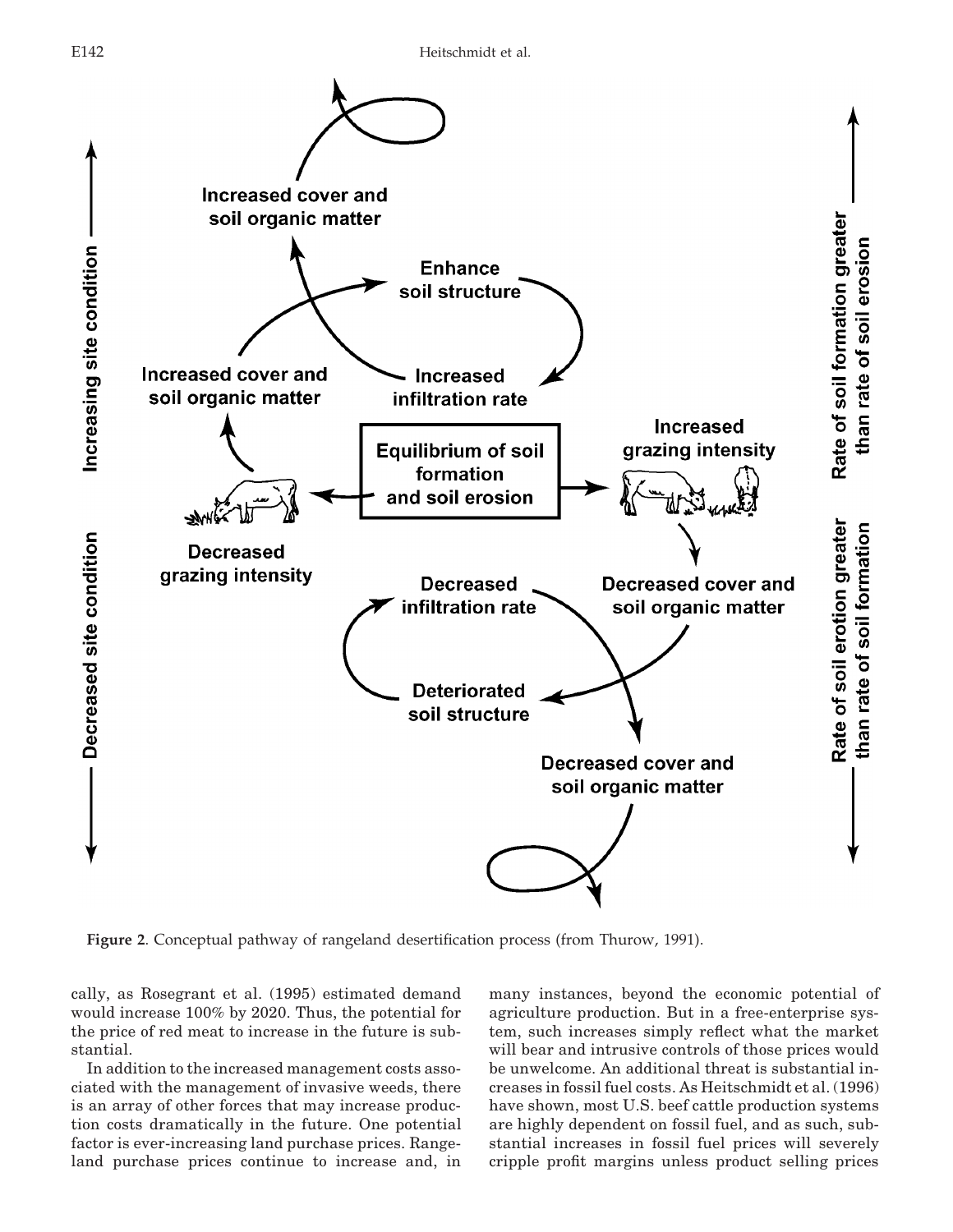

**Figure 2**. Conceptual pathway of rangeland desertification process (from Thurow, 1991).

cally, as Rosegrant et al. (1995) estimated demand would increase 100% by 2020. Thus, the potential for the price of red meat to increase in the future is substantial.

In addition to the increased management costs associated with the management of invasive weeds, there is an array of other forces that may increase production costs dramatically in the future. One potential factor is ever-increasing land purchase prices. Rangeland purchase prices continue to increase and, in many instances, beyond the economic potential of agriculture production. But in a free-enterprise system, such increases simply reflect what the market will bear and intrusive controls of those prices would be unwelcome. An additional threat is substantial increases in fossil fuel costs. As Heitschmidt et al. (1996) have shown, most U.S. beef cattle production systems are highly dependent on fossil fuel, and as such, substantial increases in fossil fuel prices will severely cripple profit margins unless product selling prices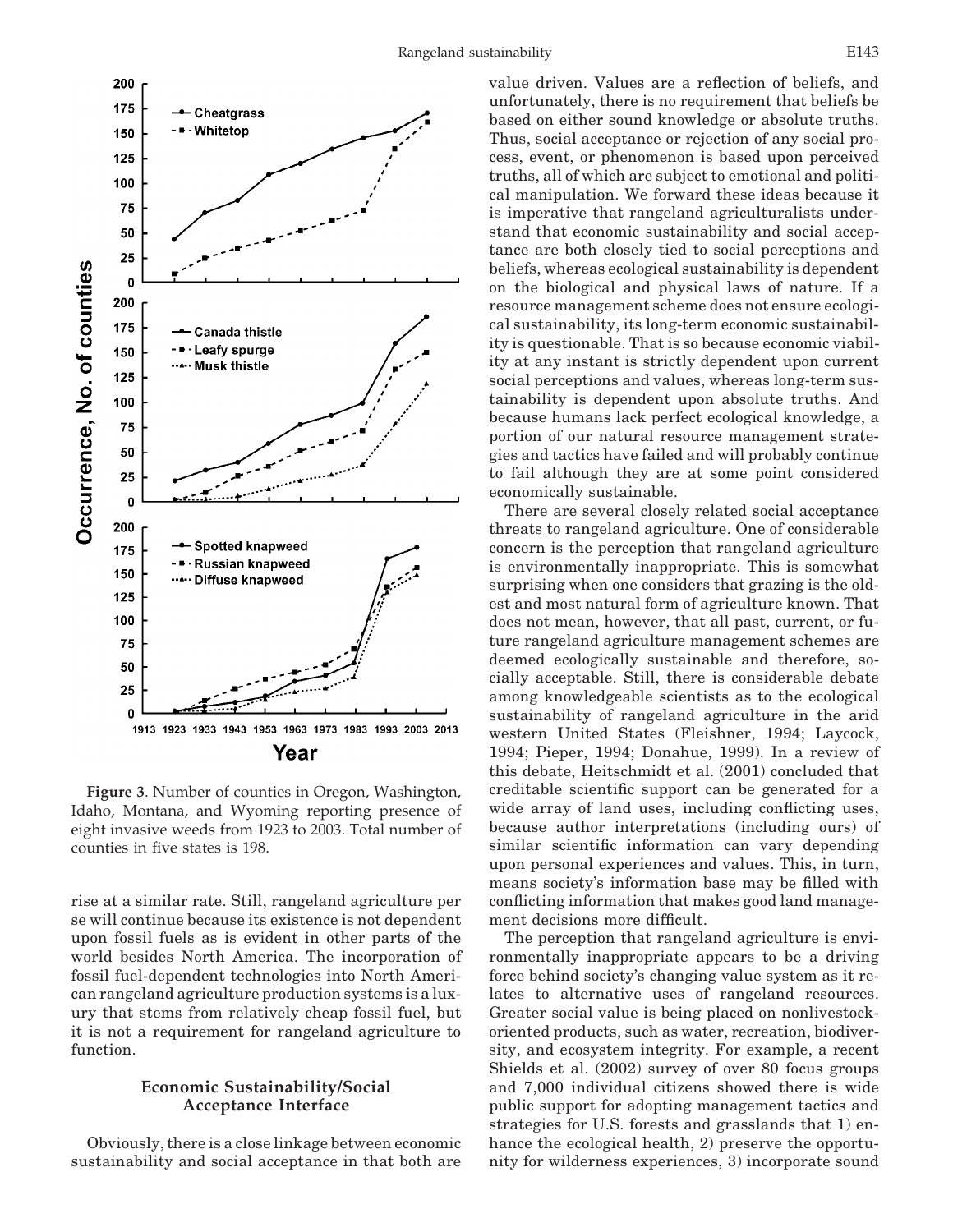

**Figure 3**. Number of counties in Oregon, Washington, Idaho, Montana, and Wyoming reporting presence of eight invasive weeds from 1923 to 2003. Total number of counties in five states is 198.

rise at a similar rate. Still, rangeland agriculture per se will continue because its existence is not dependent upon fossil fuels as is evident in other parts of the world besides North America. The incorporation of fossil fuel-dependent technologies into North American rangeland agriculture production systems is a luxury that stems from relatively cheap fossil fuel, but it is not a requirement for rangeland agriculture to function.

# **Economic Sustainability/Social Acceptance Interface**

Obviously, there is a close linkage between economic sustainability and social acceptance in that both are value driven. Values are a reflection of beliefs, and unfortunately, there is no requirement that beliefs be based on either sound knowledge or absolute truths. Thus, social acceptance or rejection of any social process, event, or phenomenon is based upon perceived truths, all of which are subject to emotional and political manipulation. We forward these ideas because it is imperative that rangeland agriculturalists understand that economic sustainability and social acceptance are both closely tied to social perceptions and beliefs, whereas ecological sustainability is dependent on the biological and physical laws of nature. If a resource management scheme does not ensure ecological sustainability, its long-term economic sustainability is questionable. That is so because economic viability at any instant is strictly dependent upon current social perceptions and values, whereas long-term sustainability is dependent upon absolute truths. And because humans lack perfect ecological knowledge, a portion of our natural resource management strategies and tactics have failed and will probably continue to fail although they are at some point considered economically sustainable.

There are several closely related social acceptance threats to rangeland agriculture. One of considerable concern is the perception that rangeland agriculture is environmentally inappropriate. This is somewhat surprising when one considers that grazing is the oldest and most natural form of agriculture known. That does not mean, however, that all past, current, or future rangeland agriculture management schemes are deemed ecologically sustainable and therefore, socially acceptable. Still, there is considerable debate among knowledgeable scientists as to the ecological sustainability of rangeland agriculture in the arid western United States (Fleishner, 1994; Laycock, 1994; Pieper, 1994; Donahue, 1999). In a review of this debate, Heitschmidt et al. (2001) concluded that creditable scientific support can be generated for a wide array of land uses, including conflicting uses, because author interpretations (including ours) of similar scientific information can vary depending upon personal experiences and values. This, in turn, means society's information base may be filled with conflicting information that makes good land management decisions more difficult.

The perception that rangeland agriculture is environmentally inappropriate appears to be a driving force behind society's changing value system as it relates to alternative uses of rangeland resources. Greater social value is being placed on nonlivestockoriented products, such as water, recreation, biodiversity, and ecosystem integrity. For example, a recent Shields et al. (2002) survey of over 80 focus groups and 7,000 individual citizens showed there is wide public support for adopting management tactics and strategies for U.S. forests and grasslands that 1) enhance the ecological health, 2) preserve the opportunity for wilderness experiences, 3) incorporate sound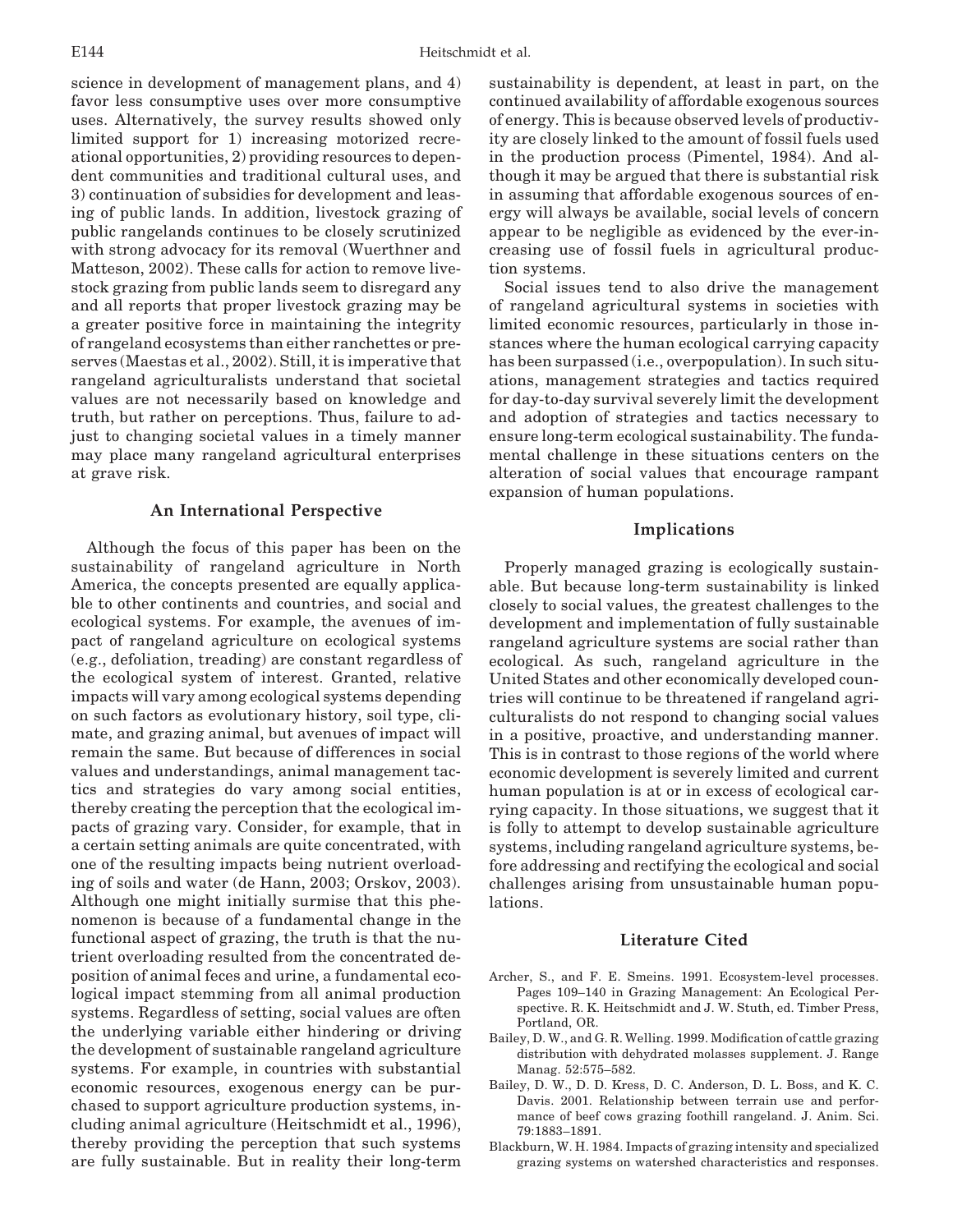science in development of management plans, and 4) favor less consumptive uses over more consumptive uses. Alternatively, the survey results showed only limited support for 1) increasing motorized recreational opportunities, 2) providing resources to dependent communities and traditional cultural uses, and 3) continuation of subsidies for development and leasing of public lands. In addition, livestock grazing of public rangelands continues to be closely scrutinized with strong advocacy for its removal (Wuerthner and Matteson, 2002). These calls for action to remove livestock grazing from public lands seem to disregard any and all reports that proper livestock grazing may be a greater positive force in maintaining the integrity of rangeland ecosystems than either ranchettes or preserves (Maestas et al., 2002). Still, it is imperative that rangeland agriculturalists understand that societal values are not necessarily based on knowledge and truth, but rather on perceptions. Thus, failure to adjust to changing societal values in a timely manner may place many rangeland agricultural enterprises at grave risk.

#### **An International Perspective**

Although the focus of this paper has been on the sustainability of rangeland agriculture in North America, the concepts presented are equally applicable to other continents and countries, and social and ecological systems. For example, the avenues of impact of rangeland agriculture on ecological systems (e.g., defoliation, treading) are constant regardless of the ecological system of interest. Granted, relative impacts will vary among ecological systems depending on such factors as evolutionary history, soil type, climate, and grazing animal, but avenues of impact will remain the same. But because of differences in social values and understandings, animal management tactics and strategies do vary among social entities, thereby creating the perception that the ecological impacts of grazing vary. Consider, for example, that in a certain setting animals are quite concentrated, with one of the resulting impacts being nutrient overloading of soils and water (de Hann, 2003; Orskov, 2003). Although one might initially surmise that this phenomenon is because of a fundamental change in the functional aspect of grazing, the truth is that the nutrient overloading resulted from the concentrated deposition of animal feces and urine, a fundamental ecological impact stemming from all animal production systems. Regardless of setting, social values are often the underlying variable either hindering or driving the development of sustainable rangeland agriculture systems. For example, in countries with substantial economic resources, exogenous energy can be purchased to support agriculture production systems, including animal agriculture (Heitschmidt et al., 1996), thereby providing the perception that such systems are fully sustainable. But in reality their long-term sustainability is dependent, at least in part, on the continued availability of affordable exogenous sources of energy. This is because observed levels of productivity are closely linked to the amount of fossil fuels used in the production process (Pimentel, 1984). And although it may be argued that there is substantial risk in assuming that affordable exogenous sources of energy will always be available, social levels of concern appear to be negligible as evidenced by the ever-increasing use of fossil fuels in agricultural production systems.

Social issues tend to also drive the management of rangeland agricultural systems in societies with limited economic resources, particularly in those instances where the human ecological carrying capacity has been surpassed (i.e., overpopulation). In such situations, management strategies and tactics required for day-to-day survival severely limit the development and adoption of strategies and tactics necessary to ensure long-term ecological sustainability. The fundamental challenge in these situations centers on the alteration of social values that encourage rampant expansion of human populations.

# **Implications**

Properly managed grazing is ecologically sustainable. But because long-term sustainability is linked closely to social values, the greatest challenges to the development and implementation of fully sustainable rangeland agriculture systems are social rather than ecological. As such, rangeland agriculture in the United States and other economically developed countries will continue to be threatened if rangeland agriculturalists do not respond to changing social values in a positive, proactive, and understanding manner. This is in contrast to those regions of the world where economic development is severely limited and current human population is at or in excess of ecological carrying capacity. In those situations, we suggest that it is folly to attempt to develop sustainable agriculture systems, including rangeland agriculture systems, before addressing and rectifying the ecological and social challenges arising from unsustainable human populations.

#### **Literature Cited**

- Archer, S., and F. E. Smeins. 1991. Ecosystem-level processes. Pages 109–140 in Grazing Management: An Ecological Perspective. R. K. Heitschmidt and J. W. Stuth, ed. Timber Press, Portland, OR.
- Bailey, D. W., and G. R. Welling. 1999. Modification of cattle grazing distribution with dehydrated molasses supplement. J. Range Manag. 52:575–582.
- Bailey, D. W., D. D. Kress, D. C. Anderson, D. L. Boss, and K. C. Davis. 2001. Relationship between terrain use and performance of beef cows grazing foothill rangeland. J. Anim. Sci. 79:1883–1891.
- Blackburn, W. H. 1984. Impacts of grazing intensity and specialized grazing systems on watershed characteristics and responses.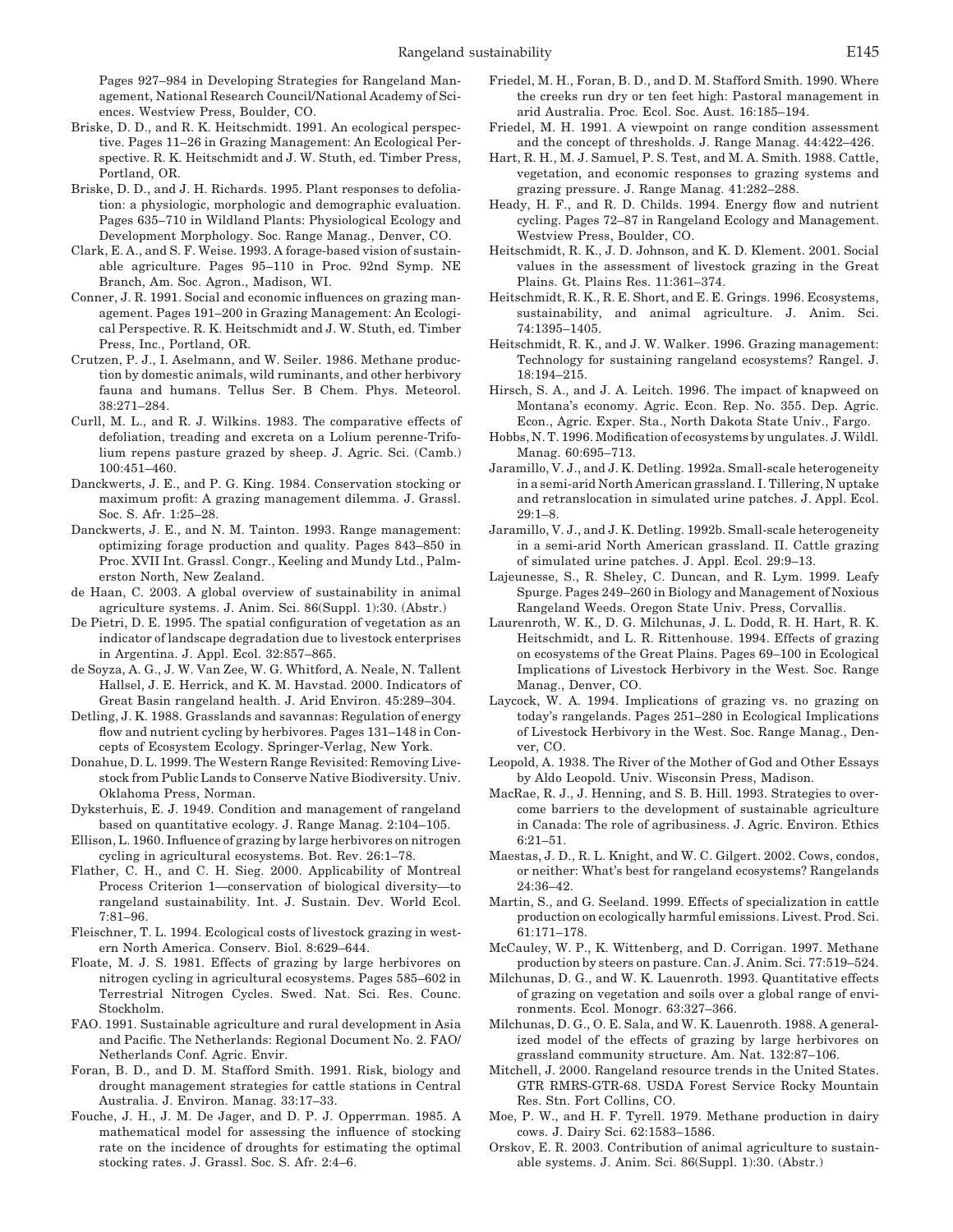Pages 927–984 in Developing Strategies for Rangeland Management, National Research Council/National Academy of Sciences. Westview Press, Boulder, CO.

- Briske, D. D., and R. K. Heitschmidt. 1991. An ecological perspective. Pages 11–26 in Grazing Management: An Ecological Perspective. R. K. Heitschmidt and J. W. Stuth, ed. Timber Press, Portland, OR.
- Briske, D. D., and J. H. Richards. 1995. Plant responses to defoliation: a physiologic, morphologic and demographic evaluation. Pages 635–710 in Wildland Plants: Physiological Ecology and Development Morphology. Soc. Range Manag., Denver, CO.
- Clark, E. A., and S. F. Weise. 1993. A forage-based vision of sustainable agriculture. Pages 95–110 in Proc. 92nd Symp. NE Branch, Am. Soc. Agron., Madison, WI.
- Conner, J. R. 1991. Social and economic influences on grazing management. Pages 191–200 in Grazing Management: An Ecological Perspective. R. K. Heitschmidt and J. W. Stuth, ed. Timber Press, Inc., Portland, OR.
- Crutzen, P. J., I. Aselmann, and W. Seiler. 1986. Methane production by domestic animals, wild ruminants, and other herbivory fauna and humans. Tellus Ser. B Chem. Phys. Meteorol. 38:271–284.
- Curll, M. L., and R. J. Wilkins. 1983. The comparative effects of defoliation, treading and excreta on a Lolium perenne-Trifolium repens pasture grazed by sheep. J. Agric. Sci. (Camb.) 100:451–460.
- Danckwerts, J. E., and P. G. King. 1984. Conservation stocking or maximum profit: A grazing management dilemma. J. Grassl. Soc. S. Afr. 1:25–28.
- Danckwerts, J. E., and N. M. Tainton. 1993. Range management: optimizing forage production and quality. Pages 843–850 in Proc. XVII Int. Grassl. Congr., Keeling and Mundy Ltd., Palmerston North, New Zealand.
- de Haan, C. 2003. A global overview of sustainability in animal agriculture systems. J. Anim. Sci. 86(Suppl. 1):30. (Abstr.)
- De Pietri, D. E. 1995. The spatial configuration of vegetation as an indicator of landscape degradation due to livestock enterprises in Argentina. J. Appl. Ecol. 32:857–865.
- de Soyza, A. G., J. W. Van Zee, W. G. Whitford, A. Neale, N. Tallent Hallsel, J. E. Herrick, and K. M. Havstad. 2000. Indicators of Great Basin rangeland health. J. Arid Environ. 45:289–304.
- Detling, J. K. 1988. Grasslands and savannas: Regulation of energy flow and nutrient cycling by herbivores. Pages 131–148 in Concepts of Ecosystem Ecology. Springer-Verlag, New York.
- Donahue, D. L. 1999. The Western Range Revisited: Removing Livestock from Public Lands to Conserve Native Biodiversity. Univ. Oklahoma Press, Norman.
- Dyksterhuis, E. J. 1949. Condition and management of rangeland based on quantitative ecology. J. Range Manag. 2:104–105.
- Ellison, L. 1960. Influence of grazing by large herbivores on nitrogen cycling in agricultural ecosystems. Bot. Rev. 26:1–78.
- Flather, C. H., and C. H. Sieg. 2000. Applicability of Montreal Process Criterion 1—conservation of biological diversity—to rangeland sustainability. Int. J. Sustain. Dev. World Ecol. 7:81–96.
- Fleischner, T. L. 1994. Ecological costs of livestock grazing in western North America. Conserv. Biol. 8:629–644.
- Floate, M. J. S. 1981. Effects of grazing by large herbivores on nitrogen cycling in agricultural ecosystems. Pages 585–602 in Terrestrial Nitrogen Cycles. Swed. Nat. Sci. Res. Counc. Stockholm.
- FAO. 1991. Sustainable agriculture and rural development in Asia and Pacific. The Netherlands: Regional Document No. 2. FAO/ Netherlands Conf. Agric. Envir.
- Foran, B. D., and D. M. Stafford Smith. 1991. Risk, biology and drought management strategies for cattle stations in Central Australia. J. Environ. Manag. 33:17–33.
- Fouche, J. H., J. M. De Jager, and D. P. J. Opperrman. 1985. A mathematical model for assessing the influence of stocking rate on the incidence of droughts for estimating the optimal stocking rates. J. Grassl. Soc. S. Afr. 2:4–6.
- Friedel, M. H., Foran, B. D., and D. M. Stafford Smith. 1990. Where the creeks run dry or ten feet high: Pastoral management in arid Australia. Proc. Ecol. Soc. Aust. 16:185–194.
- Friedel, M. H. 1991. A viewpoint on range condition assessment and the concept of thresholds. J. Range Manag. 44:422–426.
- Hart, R. H., M. J. Samuel, P. S. Test, and M. A. Smith. 1988. Cattle, vegetation, and economic responses to grazing systems and grazing pressure. J. Range Manag. 41:282–288.
- Heady, H. F., and R. D. Childs. 1994. Energy flow and nutrient cycling. Pages 72–87 in Rangeland Ecology and Management. Westview Press, Boulder, CO.
- Heitschmidt, R. K., J. D. Johnson, and K. D. Klement. 2001. Social values in the assessment of livestock grazing in the Great Plains. Gt. Plains Res. 11:361–374.
- Heitschmidt, R. K., R. E. Short, and E. E. Grings. 1996. Ecosystems, sustainability, and animal agriculture. J. Anim. Sci. 74:1395–1405.
- Heitschmidt, R. K., and J. W. Walker. 1996. Grazing management: Technology for sustaining rangeland ecosystems? Rangel. J. 18:194–215.
- Hirsch, S. A., and J. A. Leitch. 1996. The impact of knapweed on Montana's economy. Agric. Econ. Rep. No. 355. Dep. Agric. Econ., Agric. Exper. Sta., North Dakota State Univ., Fargo.
- Hobbs, N. T. 1996. Modification of ecosystems by ungulates. J. Wildl. Manag. 60:695–713.
- Jaramillo, V. J., and J. K. Detling. 1992a. Small-scale heterogeneity in a semi-arid North American grassland. I. Tillering, N uptake and retranslocation in simulated urine patches. J. Appl. Ecol.  $29:1 - 8$ .
- Jaramillo, V. J., and J. K. Detling. 1992b. Small-scale heterogeneity in a semi-arid North American grassland. II. Cattle grazing of simulated urine patches. J. Appl. Ecol. 29:9–13.
- Lajeunesse, S., R. Sheley, C. Duncan, and R. Lym. 1999. Leafy Spurge. Pages 249–260 in Biology and Management of Noxious Rangeland Weeds. Oregon State Univ. Press, Corvallis.
- Laurenroth, W. K., D. G. Milchunas, J. L. Dodd, R. H. Hart, R. K. Heitschmidt, and L. R. Rittenhouse. 1994. Effects of grazing on ecosystems of the Great Plains. Pages 69–100 in Ecological Implications of Livestock Herbivory in the West. Soc. Range Manag., Denver, CO.
- Laycock, W. A. 1994. Implications of grazing vs. no grazing on today's rangelands. Pages 251–280 in Ecological Implications of Livestock Herbivory in the West. Soc. Range Manag., Denver, CO.
- Leopold, A. 1938. The River of the Mother of God and Other Essays by Aldo Leopold. Univ. Wisconsin Press, Madison.
- MacRae, R. J., J. Henning, and S. B. Hill. 1993. Strategies to overcome barriers to the development of sustainable agriculture in Canada: The role of agribusiness. J. Agric. Environ. Ethics 6:21–51.
- Maestas, J. D., R. L. Knight, and W. C. Gilgert. 2002. Cows, condos, or neither: What's best for rangeland ecosystems? Rangelands 24:36–42.
- Martin, S., and G. Seeland. 1999. Effects of specialization in cattle production on ecologically harmful emissions. Livest. Prod. Sci. 61:171–178.
- McCauley, W. P., K. Wittenberg, and D. Corrigan. 1997. Methane production by steers on pasture. Can. J. Anim. Sci. 77:519–524.
- Milchunas, D. G., and W. K. Lauenroth. 1993. Quantitative effects of grazing on vegetation and soils over a global range of environments. Ecol. Monogr. 63:327–366.
- Milchunas, D. G., O. E. Sala, and W. K. Lauenroth. 1988. A generalized model of the effects of grazing by large herbivores on grassland community structure. Am. Nat. 132:87–106.
- Mitchell, J. 2000. Rangeland resource trends in the United States. GTR RMRS-GTR-68. USDA Forest Service Rocky Mountain Res. Stn. Fort Collins, CO.
- Moe, P. W., and H. F. Tyrell. 1979. Methane production in dairy cows. J. Dairy Sci. 62:1583–1586.
- Orskov, E. R. 2003. Contribution of animal agriculture to sustainable systems. J. Anim. Sci. 86(Suppl. 1):30. (Abstr.)